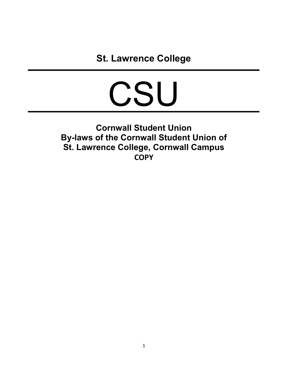# CSU

Cornwall Student Union By-laws of the Cornwall Student Union of St. Lawrence College, Cornwall Campus **COPY**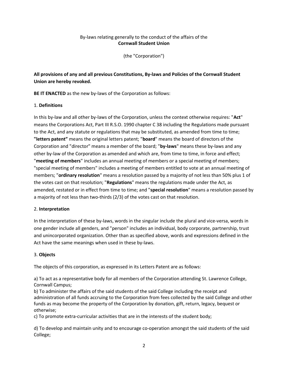# By-laws relating generally to the conduct of the affairs of the Cornwall Student Union

(the "Corporation")

All provisions of any and all previous Constitutions, By-laws and Policies of the Cornwall Student Union are hereby revoked.

BE IT ENACTED as the new by-laws of the Corporation as follows:

# 1. Definitions

In this by-law and all other by-laws of the Corporation, unless the context otherwise requires: "Act" means the Corporations Act, Part III R.S.O. 1990 chapter C 38 including the Regulations made pursuant to the Act, and any statute or regulations that may be substituted, as amended from time to time; "letters patent" means the original letters patent; "board" means the board of directors of the Corporation and "director" means a member of the board; "by-laws" means these by-laws and any other by-law of the Corporation as amended and which are, from time to time, in force and effect; "meeting of members" includes an annual meeting of members or a special meeting of members; "special meeting of members" includes a meeting of members entitled to vote at an annual meeting of members; "ordinary resolution" means a resolution passed by a majority of not less than 50% plus 1 of the votes cast on that resolution; "Regulations" means the regulations made under the Act, as amended, restated or in effect from time to time; and "special resolution" means a resolution passed by a majority of not less than two-thirds (2/3) of the votes cast on that resolution.

# 2. Interpretation

In the interpretation of these by-laws, words in the singular include the plural and vice-versa, words in one gender include all genders, and "person" includes an individual, body corporate, partnership, trust and unincorporated organization. Other than as specified above, words and expressions defined in the Act have the same meanings when used in these by-laws.

# 3. Objects

The objects of this corporation, as expressed in its Letters Patent are as follows:

a) To act as a representative body for all members of the Corporation attending St. Lawrence College, Cornwall Campus;

b) To administer the affairs of the said students of the said College including the receipt and administration of all funds accruing to the Corporation from fees collected by the said College and other funds as may become the property of the Corporation by donation, gift, return, legacy, bequest or otherwise;

c) To promote extra-curricular activities that are in the interests of the student body;

d) To develop and maintain unity and to encourage co-operation amongst the said students of the said College;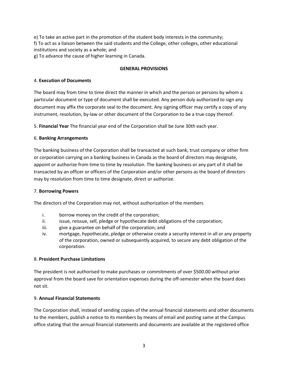e) To take an active part in the promotion of the student body interests in the community; f) To act as a liaison between the said students and the College, other colleges, other educational institutions and society as a whole; and

g) To advance the cause of higher learning in Canada.

# GENERAL PROVISIONS

# 4. Execution of Documents

The board may from time to time direct the manner in which and the person or persons by whom a particular document or type of document shall be executed. Any person duly authorized to sign any document may affix the corporate seal to the document. Any signing officer may certify a copy of any instrument, resolution, by-law or other document of the Corporation to be a true copy thereof.

5. Financial Year The financial year end of the Corporation shall be June 30th each year.

# 6. Banking Arrangements

The banking business of the Corporation shall be transacted at such bank, trust company or other firm or corporation carrying on a banking business in Canada as the board of directors may designate, appoint or authorize from time to time by resolution. The banking business or any part of it shall be transacted by an officer or officers of the Corporation and/or other persons as the board of directors may by resolution from time to time designate, direct or authorize.

#### 7. Borrowing Powers

The directors of the Corporation may not, without authorization of the members

- i. borrow money on the credit of the corporation;
- ii. issue, reissue, sell, pledge or hypothecate debt obligations of the corporation;
- iii. give a guarantee on behalf of the corporation; and
- iv. mortgage, hypothecate, pledge or otherwise create a security interest in all or any property of the corporation, owned or subsequently acquired, to secure any debt obligation of the corporation.

#### 8. President Purchase Limitations

The president is not authorised to make purchases or commitments of over \$500.00 without prior approval from the board save for orientation expenses during the off-semester when the board does not sit.

#### 9. Annual Financial Statements

The Corporation shall, instead of sending copies of the annual financial statements and other documents to the members, publish a notice to its members by means of email and posting same at the Campus office stating that the annual financial statements and documents are available at the registered office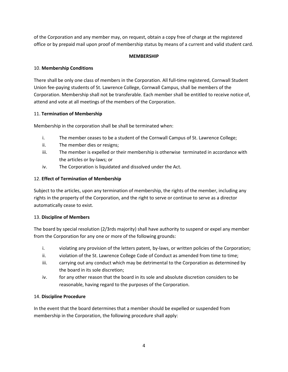of the Corporation and any member may, on request, obtain a copy free of charge at the registered office or by prepaid mail upon proof of membership status by means of a current and valid student card.

# **MEMBERSHIP**

# 10. Membership Conditions

There shall be only one class of members in the Corporation. All full-time registered, Cornwall Student Union fee-paying students of St. Lawrence College, Cornwall Campus, shall be members of the Corporation. Membership shall not be transferable. Each member shall be entitled to receive notice of, attend and vote at all meetings of the members of the Corporation.

# 11. Termination of Membership

Membership in the corporation shall be shall be terminated when:

- i. The member ceases to be a student of the Cornwall Campus of St. Lawrence College;
- ii. The member dies or resigns;
- iii. The member is expelled or their membership is otherwise terminated in accordance with the articles or by-laws; or
- iv. The Corporation is liquidated and dissolved under the Act.

# 12. Effect of Termination of Membership

Subject to the articles, upon any termination of membership, the rights of the member, including any rights in the property of the Corporation, and the right to serve or continue to serve as a director automatically cease to exist.

# 13. Discipline of Members

The board by special resolution (2/3rds majority) shall have authority to suspend or expel any member from the Corporation for any one or more of the following grounds:

- i. violating any provision of the letters patent, by-laws, or written policies of the Corporation;
- ii. violation of the St. Lawrence College Code of Conduct as amended from time to time;
- iii. carrying out any conduct which may be detrimental to the Corporation as determined by the board in its sole discretion;
- iv. for any other reason that the board in its sole and absolute discretion considers to be reasonable, having regard to the purposes of the Corporation.

#### 14. Discipline Procedure

In the event that the board determines that a member should be expelled or suspended from membership in the Corporation, the following procedure shall apply: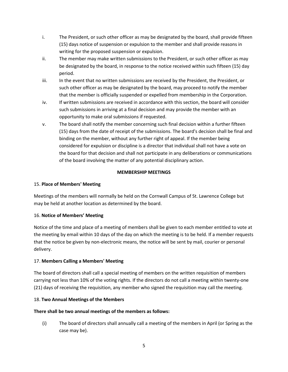- i. The President, or such other officer as may be designated by the board, shall provide fifteen (15) days notice of suspension or expulsion to the member and shall provide reasons in writing for the proposed suspension or expulsion.
- ii. The member may make written submissions to the President, or such other officer as may be designated by the board, in response to the notice received within such fifteen (15) day period.
- iii. In the event that no written submissions are received by the President, the President, or such other officer as may be designated by the board, may proceed to notify the member that the member is officially suspended or expelled from membership in the Corporation.
- iv. If written submissions are received in accordance with this section, the board will consider such submissions in arriving at a final decision and may provide the member with an opportunity to make oral submissions if requested.
- v. The board shall notify the member concerning such final decision within a further fifteen (15) days from the date of receipt of the submissions. The board's decision shall be final and binding on the member, without any further right of appeal. If the member being considered for expulsion or discipline is a director that individual shall not have a vote on the board for that decision and shall not participate in any deliberations or communications of the board involving the matter of any potential disciplinary action.

# MEMBERSHIP MEETINGS

# 15. Place of Members' Meeting

Meetings of the members will normally be held on the Cornwall Campus of St. Lawrence College but may be held at another location as determined by the board.

# 16. Notice of Members' Meeting

Notice of the time and place of a meeting of members shall be given to each member entitled to vote at the meeting by email within 10 days of the day on which the meeting is to be held. If a member requests that the notice be given by non-electronic means, the notice will be sent by mail, courier or personal delivery.

# 17. Members Calling a Members' Meeting

The board of directors shall call a special meeting of members on the written requisition of members carrying not less than 10% of the voting rights. If the directors do not call a meeting within twenty-one (21) days of receiving the requisition, any member who signed the requisition may call the meeting.

#### 18. Two Annual Meetings of the Members

#### There shall be two annual meetings of the members as follows:

(i) The board of directors shall annually call a meeting of the members in April (or Spring as the case may be).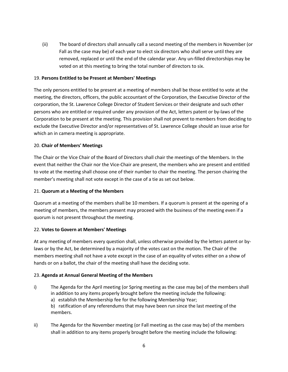(ii) The board of directors shall annually call a second meeting of the members in November (or Fall as the case may be) of each year to elect six directors who shall serve until they are removed, replaced or until the end of the calendar year. Any un-filled directorships may be voted on at this meeting to bring the total number of directors to six.

#### 19. Persons Entitled to be Present at Members' Meetings

The only persons entitled to be present at a meeting of members shall be those entitled to vote at the meeting, the directors, officers, the public accountant of the Corporation, the Executive Director of the corporation, the St. Lawrence College Director of Student Services or their designate and such other persons who are entitled or required under any provision of the Act, letters patent or by-laws of the Corporation to be present at the meeting. This provision shall not prevent to members from deciding to exclude the Executive Director and/or representatives of St. Lawrence College should an issue arise for which an in camera meeting is appropriate.

# 20. Chair of Members' Meetings

The Chair or the Vice Chair of the Board of Directors shall chair the meetings of the Members. In the event that neither the Chair nor the Vice-Chair are present, the members who are present and entitled to vote at the meeting shall choose one of their number to chair the meeting. The person chairing the member's meeting shall not vote except in the case of a tie as set out below.

#### 21. Quorum at a Meeting of the Members

Quorum at a meeting of the members shall be 10 members. If a quorum is present at the opening of a meeting of members, the members present may proceed with the business of the meeting even if a quorum is not present throughout the meeting.

#### 22. Votes to Govern at Members' Meetings

At any meeting of members every question shall, unless otherwise provided by the letters patent or bylaws or by the Act, be determined by a majority of the votes cast on the motion. The Chair of the members meeting shall not have a vote except in the case of an equality of votes either on a show of hands or on a ballot, the chair of the meeting shall have the deciding vote.

#### 23. Agenda at Annual General Meeting of the Members

i) The Agenda for the April meeting (or Spring meeting as the case may be) of the members shall in addition to any items properly brought before the meeting include the following:

a) establish the Membership fee for the following Membership Year;

b) ratification of any referendums that may have been run since the last meeting of the members.

ii) The Agenda for the November meeting (or Fall meeting as the case may be) of the members shall in addition to any items properly brought before the meeting include the following: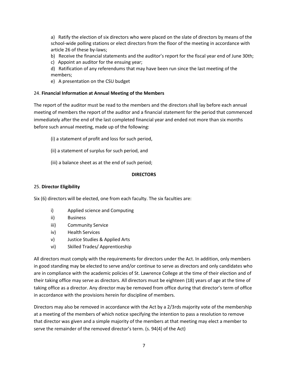a) Ratify the election of six directors who were placed on the slate of directors by means of the school-wide polling stations or elect directors from the floor of the meeting in accordance with article 26 of these by-laws;

- b) Receive the financial statements and the auditor's report for the fiscal year end of June 30th;
- c) Appoint an auditor for the ensuing year;
- d) Ratification of any referendums that may have been run since the last meeting of the members;
- e) A presentation on the CSU budget

#### 24. Financial Information at Annual Meeting of the Members

The report of the auditor must be read to the members and the directors shall lay before each annual meeting of members the report of the auditor and a financial statement for the period that commenced immediately after the end of the last completed financial year and ended not more than six months before such annual meeting, made up of the following:

- (i) a statement of profit and loss for such period,
- (ii) a statement of surplus for such period, and
- (iii) a balance sheet as at the end of such period;

#### **DIRECTORS**

#### 25. Director Eligibility

Six (6) directors will be elected, one from each faculty. The six faculties are:

- i) Applied science and Computing
- ii) Business
- iii) Community Service
- iv) Health Services
- v) Justice Studies & Applied Arts
- vi) Skilled Trades/ Apprenticeship

All directors must comply with the requirements for directors under the Act. In addition, only members in good standing may be elected to serve and/or continue to serve as directors and only candidates who are in compliance with the academic policies of St. Lawrence College at the time of their election and of their taking office may serve as directors. All directors must be eighteen (18) years of age at the time of taking office as a director. Any director may be removed from office during that director's term of office in accordance with the provisions herein for discipline of members.

Directors may also be removed in accordance with the Act by a 2/3rds majority vote of the membership at a meeting of the members of which notice specifying the intention to pass a resolution to remove that director was given and a simple majority of the members at that meeting may elect a member to serve the remainder of the removed director's term. (s. 94(4) of the Act)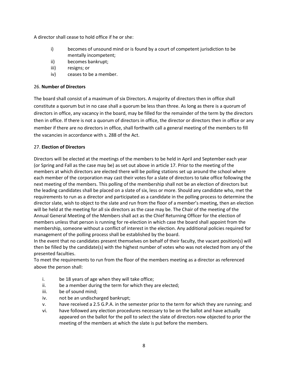A director shall cease to hold office if he or she:

- i) becomes of unsound mind or is found by a court of competent jurisdiction to be mentally incompetent;
- ii) becomes bankrupt;
- iii) resigns; or
- iv) ceases to be a member.

# 26. Number of Directors

The board shall consist of a maximum of six Directors. A majority of directors then in office shall constitute a quorum but in no case shall a quorum be less than three. As long as there is a quorum of directors in office, any vacancy in the board, may be filled for the remainder of the term by the directors then in office. If there is not a quorum of directors in office, the director or directors then in office or any member if there are no directors in office, shall forthwith call a general meeting of the members to fill the vacancies in accordance with s. 288 of the Act.

# 27. Election of Directors

Directors will be elected at the meetings of the members to be held in April and September each year (or Spring and Fall as the case may be) as set out above in article 17. Prior to the meeting of the members at which directors are elected there will be polling stations set up around the school where each member of the corporation may cast their votes for a slate of directors to take office following the next meeting of the members. This polling of the membership shall not be an election of directors but the leading candidates shall be placed on a slate of six, less or more. Should any candidate who, met the requirements to run as a director and participated as a candidate in the polling process to determine the director slate, wish to object to the slate and run from the floor of a member's meeting, then an election will be held at the meeting for all six directors as the case may be. The Chair of the meeting of the Annual General Meeting of the Members shall act as the Chief Returning Officer for the election of members unless that person is running for re-election in which case the board shall appoint from the membership, someone without a conflict of interest in the election. Any additional policies required for management of the polling process shall be established by the board.

In the event that no candidates present themselves on behalf of their faculty, the vacant position(s) will then be filled by the candidate(s) with the highest number of votes who was not elected from any of the presented faculties.

To meet the requirements to run from the floor of the members meeting as a director as referenced above the person shall:

- i. be 18 years of age when they will take office;
- ii. be a member during the term for which they are elected;
- iii. be of sound mind;
- iv. not be an undischarged bankrupt;
- v. have received a 2.5 G.P.A. in the semester prior to the term for which they are running; and
- vi. have followed any election procedures necessary to be on the ballot and have actually appeared on the ballot for the poll to select the slate of directors now objected to prior the meeting of the members at which the slate is put before the members.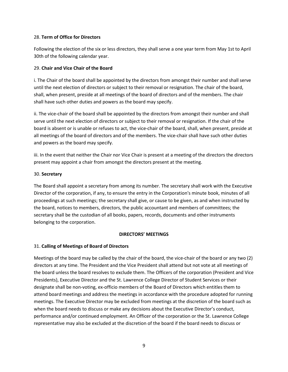# 28. Term of Office for Directors

Following the election of the six or less directors, they shall serve a one year term from May 1st to April 30th of the following calendar year.

# 29. Chair and Vice Chair of the Board

i. The Chair of the board shall be appointed by the directors from amongst their number and shall serve until the next election of directors or subject to their removal or resignation. The chair of the board, shall, when present, preside at all meetings of the board of directors and of the members. The chair shall have such other duties and powers as the board may specify.

ii. The vice-chair of the board shall be appointed by the directors from amongst their number and shall serve until the next election of directors or subject to their removal or resignation. If the chair of the board is absent or is unable or refuses to act, the vice-chair of the board, shall, when present, preside at all meetings of the board of directors and of the members. The vice-chair shall have such other duties and powers as the board may specify.

iii. In the event that neither the Chair nor Vice Chair is present at a meeting of the directors the directors present may appoint a chair from amongst the directors present at the meeting.

# 30. Secretary

The Board shall appoint a secretary from among its number. The secretary shall work with the Executive Director of the corporation, if any, to ensure the entry in the Corporation's minute book, minutes of all proceedings at such meetings; the secretary shall give, or cause to be given, as and when instructed by the board, notices to members, directors, the public accountant and members of committees; the secretary shall be the custodian of all books, papers, records, documents and other instruments belonging to the corporation.

#### DIRECTORS' MEETINGS

# 31. Calling of Meetings of Board of Directors

Meetings of the board may be called by the chair of the board, the vice-chair of the board or any two (2) directors at any time. The President and the Vice President shall attend but not vote at all meetings of the board unless the board resolves to exclude them. The Officers of the corporation (President and Vice Presidents), Executive Director and the St. Lawrence College Director of Student Services or their designate shall be non-voting, ex-officio members of the Board of Directors which entitles them to attend board meetings and address the meetings in accordance with the procedure adopted for running meetings. The Executive Director may be excluded from meetings at the discretion of the board such as when the board needs to discuss or make any decisions about the Executive Director's conduct, performance and/or continued employment. An Officer of the corporation or the St. Lawrence College representative may also be excluded at the discretion of the board if the board needs to discuss or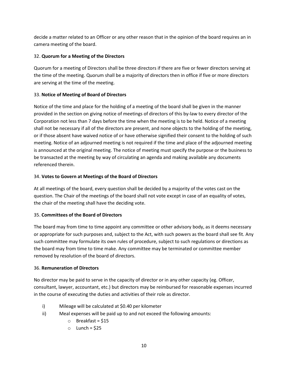decide a matter related to an Officer or any other reason that in the opinion of the board requires an in camera meeting of the board.

# 32. Quorum for a Meeting of the Directors

Quorum for a meeting of Directors shall be three directors if there are five or fewer directors serving at the time of the meeting. Quorum shall be a majority of directors then in office if five or more directors are serving at the time of the meeting.

# 33. Notice of Meeting of Board of Directors

Notice of the time and place for the holding of a meeting of the board shall be given in the manner provided in the section on giving notice of meetings of directors of this by-law to every director of the Corporation not less than 7 days before the time when the meeting is to be held. Notice of a meeting shall not be necessary if all of the directors are present, and none objects to the holding of the meeting, or if those absent have waived notice of or have otherwise signified their consent to the holding of such meeting. Notice of an adjourned meeting is not required if the time and place of the adjourned meeting is announced at the original meeting. The notice of meeting must specify the purpose or the business to be transacted at the meeting by way of circulating an agenda and making available any documents referenced therein.

# 34. Votes to Govern at Meetings of the Board of Directors

At all meetings of the board, every question shall be decided by a majority of the votes cast on the question. The Chair of the meetings of the board shall not vote except in case of an equality of votes, the chair of the meeting shall have the deciding vote.

# 35. Committees of the Board of Directors

The board may from time to time appoint any committee or other advisory body, as it deems necessary or appropriate for such purposes and, subject to the Act, with such powers as the board shall see fit. Any such committee may formulate its own rules of procedure, subject to such regulations or directions as the board may from time to time make. Any committee may be terminated or committee member removed by resolution of the board of directors.

# 36. Remuneration of Directors

No director may be paid to serve in the capacity of director or in any other capacity (eg. Officer, consultant, lawyer, accountant, etc.) but directors may be reimbursed for reasonable expenses incurred in the course of executing the duties and activities of their role as director.

- i) Mileage will be calculated at \$0.40 per kilometer
- ii) Meal expenses will be paid up to and not exceed the following amounts:
	- $\circ$  Breakfast = \$15
	- $\circ$  Lunch = \$25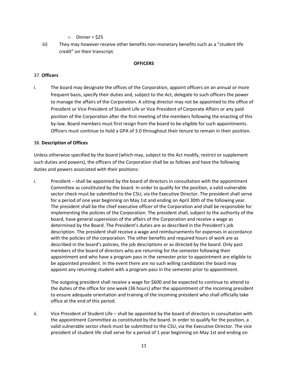- $\circ$  Dinner = \$25
- iii) They may however receive other benefits non-monetary benefits such as a "student life credit" on their transcript.

#### **OFFICERS**

#### 37. Officers

i. The board may designate the offices of the Corporation, appoint officers on an annual or more frequent basis, specify their duties and, subject to the Act, delegate to such officers the power to manage the affairs of the Corporation. A sitting director may not be appointed to the office of President or Vice President of Student Life or Vice President of Corporate Affairs or any paid position of the Corporation after the first meeting of the members following the enacting of this by-law. Board members must first resign from the board to be eligible for such appointments. Officers must continue to hold a GPA of 3.0 throughout their tenure to remain in their position.

#### 38. Description of Offices

Unless otherwise specified by the board (which may, subject to the Act modify, restrict or supplement such duties and powers), the officers of the Corporation shall be as follows and have the following duties and powers associated with their positions:

i. President – shall be appointed by the board of directors in consultation with the appointment Committee as constituted by the board. In order to qualify for the position, a valid vulnerable sector check must be submitted to the CSU, via the Executive Director. The president shall serve for a period of one year beginning on May 1st and ending on April 30th of the following year. The president shall be the chief executive officer of the Corporation and shall be responsible for implementing the policies of the Corporation. The president shall, subject to the authority of the board, have general supervision of the affairs of the Corporation and receive a wage as determined by the Board. The President's duties are as described in the President's job description. The president shall receive a wage and reimbursements for expenses in accordance with the policies of the corporation. The other benefits and required hours of work are as described in the board's policies, the job descriptions or as directed by the board. Only past members of the board of directors who are returning for the semester following their appointment and who have a program pass in the semester prior to appointment are eligible to be appointed president. In the event there are no such willing candidates the board may appoint any returning student with a program pass in the semester prior to appointment.

The outgoing president shall receive a wage for \$600 and be expected to continue to attend to the duties of the office for one week (36 hours) after the appointment of the incoming president to ensure adequate orientation and training of the incoming president who shall officially take office at the end of this period.

ii. Vice President of Student Life – shall be appointed by the board of directors in consultation with the appointment Committee as constituted by the board. In order to qualify for the position, a valid vulnerable sector check must be submitted to the CSU, via the Executive Director. The vice president of student life shall serve for a period of 1 year beginning on May 1st and ending on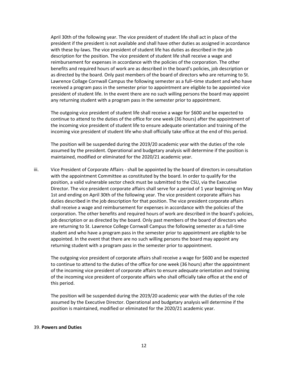April 30th of the following year. The vice president of student life shall act in place of the president if the president is not available and shall have other duties as assigned in accordance with these by-laws. The vice president of student life has duties as described in the job description for the position. The vice president of student life shall receive a wage and reimbursement for expenses in accordance with the policies of the corporation. The other benefits and required hours of work are as described in the board's policies, job description or as directed by the board. Only past members of the board of directors who are returning to St. Lawrence Collage Cornwall Campus the following semester as a full–time student and who have received a program pass in the semester prior to appointment are eligible to be appointed vice president of student life. In the event there are no such willing persons the board may appoint any returning student with a program pass in the semester prior to appointment.

The outgoing vice president of student life shall receive a wage for \$600 and be expected to continue to attend to the duties of the office for one week (36 hours) after the appointment of the incoming vice president of student life to ensure adequate orientation and training of the incoming vice president of student life who shall officially take office at the end of this period.

The position will be suspended during the 2019/20 academic year with the duties of the role assumed by the president. Operational and budgetary analysis will determine if the position is maintained, modified or eliminated for the 2020/21 academic year.

iii. Vice President of Corporate Affairs - shall be appointed by the board of directors in consultation with the appointment Committee as constituted by the board. In order to qualify for the position, a valid vulnerable sector check must be submitted to the CSU, via the Executive Director. The vice president corporate affairs shall serve for a period of 1 year beginning on May 1st and ending on April 30th of the following year. The vice president corporate affairs has duties described in the job description for that position. The vice president corporate affairs shall receive a wage and reimbursement for expenses in accordance with the policies of the corporation. The other benefits and required hours of work are described in the board's policies, job description or as directed by the board. Only past members of the board of directors who are returning to St. Lawrence College Cornwall Campus the following semester as a full-time student and who have a program pass in the semester prior to appointment are eligible to be appointed. In the event that there are no such willing persons the board may appoint any returning student with a program pass in the semester prior to appointment.

The outgoing vice president of corporate affairs shall receive a wage for \$600 and be expected to continue to attend to the duties of the office for one week (36 hours) after the appointment of the incoming vice president of corporate affairs to ensure adequate orientation and training of the incoming vice president of corporate affairs who shall officially take office at the end of this period.

The position will be suspended during the 2019/20 academic year with the duties of the role assumed by the Executive Director. Operational and budgetary analysis will determine if the position is maintained, modified or eliminated for the 2020/21 academic year.

#### 39. Powers and Duties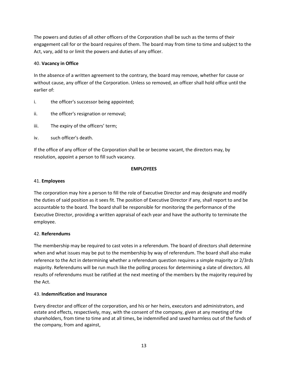The powers and duties of all other officers of the Corporation shall be such as the terms of their engagement call for or the board requires of them. The board may from time to time and subject to the Act, vary, add to or limit the powers and duties of any officer.

# 40. Vacancy in Office

In the absence of a written agreement to the contrary, the board may remove, whether for cause or without cause, any officer of the Corporation. Unless so removed, an officer shall hold office until the earlier of:

- i. the officer's successor being appointed;
- ii. the officer's resignation or removal;
- iii. The expiry of the officers' term;
- iv. such officer's death.

If the office of any officer of the Corporation shall be or become vacant, the directors may, by resolution, appoint a person to fill such vacancy.

# EMPLOYEES

#### 41. Employees

The corporation may hire a person to fill the role of Executive Director and may designate and modify the duties of said position as it sees fit. The position of Executive Director if any, shall report to and be accountable to the board. The board shall be responsible for monitoring the performance of the Executive Director, providing a written appraisal of each year and have the authority to terminate the employee.

#### 42. Referendums

The membership may be required to cast votes in a referendum. The board of directors shall determine when and what issues may be put to the membership by way of referendum. The board shall also make reference to the Act in determining whether a referendum question requires a simple majority or 2/3rds majority. Referendums will be run much like the polling process for determining a slate of directors. All results of referendums must be ratified at the next meeting of the members by the majority required by the Act.

#### 43. Indemnification and Insurance

Every director and officer of the corporation, and his or her heirs, executors and administrators, and estate and effects, respectively, may, with the consent of the company, given at any meeting of the shareholders, from time to time and at all times, be indemnified and saved harmless out of the funds of the company, from and against,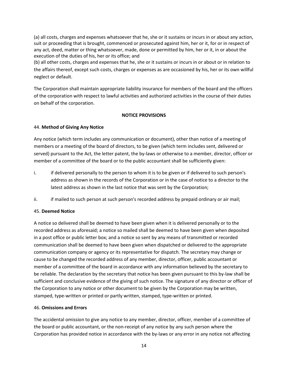(a) all costs, charges and expenses whatsoever that he, she or it sustains or incurs in or about any action, suit or proceeding that is brought, commenced or prosecuted against him, her or it, for or in respect of any act, deed, matter or thing whatsoever, made, done or permitted by him, her or it, in or about the execution of the duties of his, her or its office; and

(b) all other costs, charges and expenses that he, she or it sustains or incurs in or about or in relation to the affairs thereof, except such costs, charges or expenses as are occasioned by his, her or its own willful neglect or default.

The Corporation shall maintain appropriate liability insurance for members of the board and the officers of the corporation with respect to lawful activities and authorized activities in the course of their duties on behalf of the corporation.

# NOTICE PROVISIONS

# 44. Method of Giving Any Notice

Any notice (which term includes any communication or document), other than notice of a meeting of members or a meeting of the board of directors, to be given (which term includes sent, delivered or served) pursuant to the Act, the letter patent, the by-laws or otherwise to a member, director, officer or member of a committee of the board or to the public accountant shall be sufficiently given:

- i. if delivered personally to the person to whom it is to be given or if delivered to such person's address as shown in the records of the Corporation or in the case of notice to a director to the latest address as shown in the last notice that was sent by the Corporation;
- ii. if mailed to such person at such person's recorded address by prepaid ordinary or air mail;

#### 45. Deemed Notice

A notice so delivered shall be deemed to have been given when it is delivered personally or to the recorded address as aforesaid; a notice so mailed shall be deemed to have been given when deposited in a post office or public letter box; and a notice so sent by any means of transmitted or recorded communication shall be deemed to have been given when dispatched or delivered to the appropriate communication company or agency or its representative for dispatch. The secretary may change or cause to be changed the recorded address of any member, director, officer, public accountant or member of a committee of the board in accordance with any information believed by the secretary to be reliable. The declaration by the secretary that notice has been given pursuant to this by-law shall be sufficient and conclusive evidence of the giving of such notice. The signature of any director or officer of the Corporation to any notice or other document to be given by the Corporation may be written, stamped, type-written or printed or partly written, stamped, type-written or printed.

#### 46. Omissions and Errors

The accidental omission to give any notice to any member, director, officer, member of a committee of the board or public accountant, or the non-receipt of any notice by any such person where the Corporation has provided notice in accordance with the by-laws or any error in any notice not affecting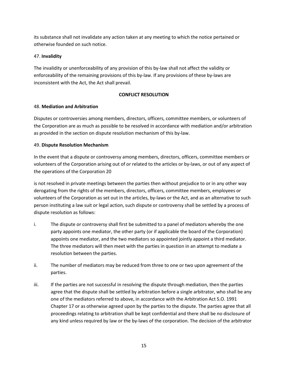its substance shall not invalidate any action taken at any meeting to which the notice pertained or otherwise founded on such notice.

# 47. Invalidity

The invalidity or unenforceability of any provision of this by-law shall not affect the validity or enforceability of the remaining provisions of this by-law. If any provisions of these by-laws are inconsistent with the Act, the Act shall prevail.

# CONFLICT RESOLUTION

# 48. Mediation and Arbitration

Disputes or controversies among members, directors, officers, committee members, or volunteers of the Corporation are as much as possible to be resolved in accordance with mediation and/or arbitration as provided in the section on dispute resolution mechanism of this by-law.

# 49. Dispute Resolution Mechanism

In the event that a dispute or controversy among members, directors, officers, committee members or volunteers of the Corporation arising out of or related to the articles or by-laws, or out of any aspect of the operations of the Corporation 20

is not resolved in private meetings between the parties then without prejudice to or in any other way derogating from the rights of the members, directors, officers, committee members, employees or volunteers of the Corporation as set out in the articles, by-laws or the Act, and as an alternative to such person instituting a law suit or legal action, such dispute or controversy shall be settled by a process of dispute resolution as follows:

- i. The dispute or controversy shall first be submitted to a panel of mediators whereby the one party appoints one mediator, the other party (or if applicable the board of the Corporation) appoints one mediator, and the two mediators so appointed jointly appoint a third mediator. The three mediators will then meet with the parties in question in an attempt to mediate a resolution between the parties.
- ii. The number of mediators may be reduced from three to one or two upon agreement of the parties.
- iii. If the parties are not successful in resolving the dispute through mediation, then the parties agree that the dispute shall be settled by arbitration before a single arbitrator, who shall be any one of the mediators referred to above, in accordance with the Arbitration Act S.O. 1991 Chapter 17 or as otherwise agreed upon by the parties to the dispute. The parties agree that all proceedings relating to arbitration shall be kept confidential and there shall be no disclosure of any kind unless required by law or the by-laws of the corporation. The decision of the arbitrator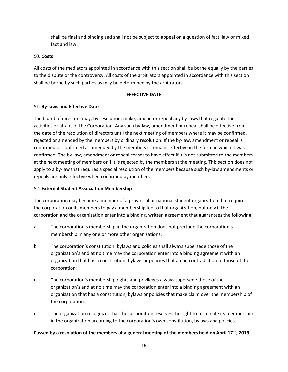shall be final and binding and shall not be subject to appeal on a question of fact, law or mixed fact and law.

#### 50. Costs

All costs of the mediators appointed in accordance with this section shall be borne equally by the parties to the dispute or the controversy. All costs of the arbitrators appointed in accordance with this section shall be borne by such parties as may be determined by the arbitrators.

#### EFFECTIVE DATE

# 51. By-laws and Effective Date

The board of directors may, by resolution, make, amend or repeal any by-laws that regulate the activities or affairs of the Corporation. Any such by-law, amendment or repeal shall be effective from the date of the resolution of directors until the next meeting of members where it may be confirmed, rejected or amended by the members by ordinary resolution. If the by-law, amendment or repeal is confirmed or confirmed as amended by the members it remains effective in the form in which it was confirmed. The by-law, amendment or repeal ceases to have effect if it is not submitted to the members at the next meeting of members or if it is rejected by the members at the meeting. This section does not apply to a by-law that requires a special resolution of the members because such by-law amendments or repeals are only effective when confirmed by members.

# 52. External Student Association Membership

The corporation may become a member of a provincial or national student organization that requires the corporation or its members to pay a membership fee to that organization, but only if the corporation and the organization enter into a binding, written agreement that guarantees the following:

- a. The corporation's membership in the organization does not preclude the corporation's membership in any one or more other organizations;
- b. The corporation's constitution, bylaws and policies shall always supersede those of the organization's and at no time may the corporation enter into a binding agreement with an organization that has a constitution, bylaws or policies that are in contradiction to those of the corporation;
- c. The corporation's membership rights and privileges always supersede those of the organization's and at no time may the corporation enter into a binding agreement with an organization that has a constitution, bylaws or policies that make claim over the membership of the corporation.
- d. The organization recognizes that the corporation reserves the right to terminate its membership in the organization according to the corporation's own constitution, bylaws and policies.

Passed by a resolution of the members at a general meeting of the members held on April 17<sup>th</sup>, 2019.